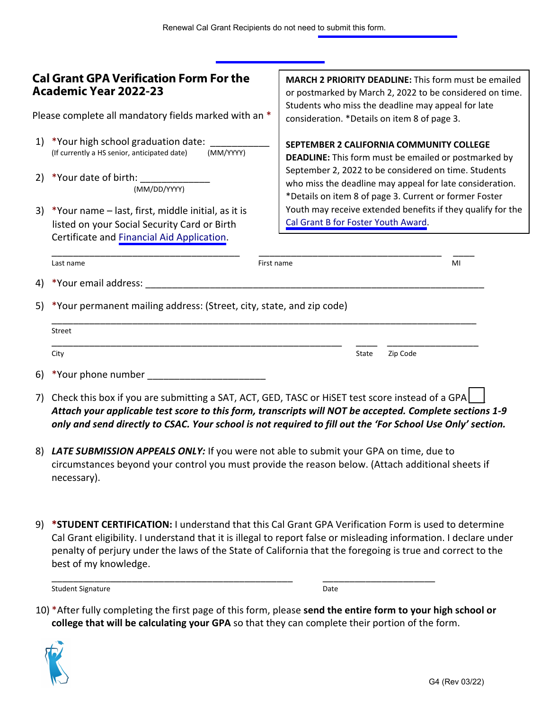## **Cal Grant GPAVerification Form For the Academic Year 2022-23**

Please complete all mandatory fields marked with an \*

- 1) \*Your high school graduation date: (If currently a HS senior, anticipated date) (MM/YYYY)
- 2) \*Your date of birth: (MM/DD/YYYY)
- 3) \*Your name last, first, middle initial, as it is listed on your Social Security Card or Birth Certificate and [Financial Aid Application](https://www.csac.ca.gov/how-apply).

**MARCH 2 PRIORITY DEADLINE:** This form must be emailed or postmarked by March 2, 2022 to be considered on time. Students who miss the deadline may appeal for late consideration. \*Details on item 8 of page 3.

**SEPTEMBER 2 CALIFORNIA COMMUNITY COLLEGE** 

**DEADLINE:** This form must be emailed or postmarked by September 2, 2022 to be considered on time. Students who miss the deadline may appeal for late consideration. \*Details on item 8 of page 3. Current or former Foster Youth may receive extended benefits if they qualify for the [Cal Grant B for Foster Youth](https://www.csac.ca.gov/post/cal-grant-b-foster-youth-award) Award.

|  | Last name                                                                                                                                                                              | First name |       | MI       |  |
|--|----------------------------------------------------------------------------------------------------------------------------------------------------------------------------------------|------------|-------|----------|--|
|  | 4) *Your email address:                                                                                                                                                                |            |       |          |  |
|  | 5) *Your permanent mailing address: (Street, city, state, and zip code)                                                                                                                |            |       |          |  |
|  | Street                                                                                                                                                                                 |            |       |          |  |
|  | City                                                                                                                                                                                   |            | State | Zip Code |  |
|  | 6) *Your phone number                                                                                                                                                                  |            |       |          |  |
|  | 7) Check this box if you are submitting a SAT, ACT, GED, TASC or HiSET test score instead of a GPA<br>,一个人的人,也是一个人的人,也是一个人的人,也是一个人的人,也是一个人的人,也是一个人的人,也是一个人的人,也是一个人的人,也是一个人的人,也是一个人的人,也 |            |       |          |  |

- *Attach your applicable test score to this form, transcripts will NOT be accepted. Complete sections 1-9 only and send directly to CSAC. Your school is not required to fill out the 'For School Use Only' section.*
- 8) *LATE SUBMISSION APPEALS ONLY:* If you were not able to submit your GPA on time, due to circumstances beyond your control you must provide the reason below. (Attach additional sheets if necessary).
- 9) **\*STUDENT CERTIFICATION:** I understand that this Cal Grant GPA Verification Form is used to determine Cal Grant eligibility. I understand that it is illegal to report false or misleading information. I declare under penalty of perjury under the laws of the State of California that the foregoing is true and correct to the best of my knowledge.

Student Signature Date Date of the Student Signature Date Date of the Date of the Date Date of the Date of the Date of the Date of the Date of the Date of the Date of the Date of the Date of the Date of the Date of the Dat

10) \*After fully completing the first page of this form, please **send the entire form to your high school or college that will be calculating your GPA** so that they can complete their portion of the form.

\_\_\_\_\_\_\_\_\_\_\_\_\_\_\_\_\_\_\_\_\_\_\_\_\_\_\_\_\_\_\_\_\_\_\_\_\_\_\_\_\_\_\_\_\_ \_\_\_\_\_\_\_\_\_\_\_\_\_\_\_\_\_\_\_\_\_

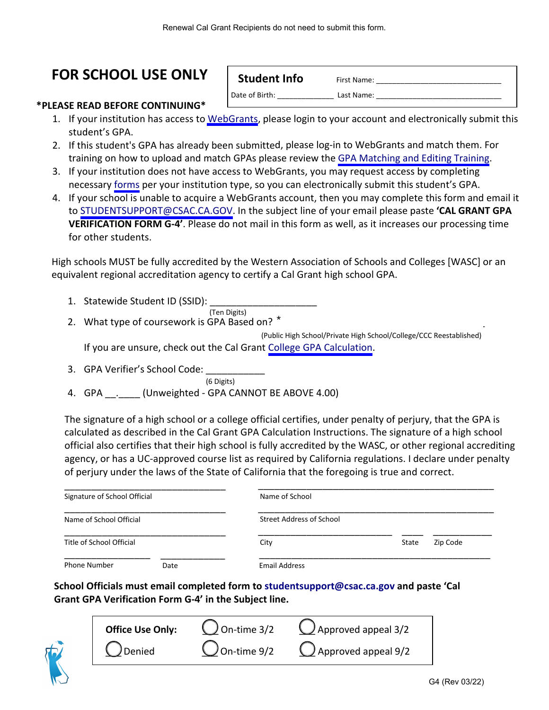# **FOR SCHOOL USE ONLY | Student Info First Name:**

Date of Birth: Last Name:

**\*PLEASE READ BEFORE CONTINUING\***

- 1. If your institution has access to [WebGrants,](https://webgrants.csac.ca.gov/) please login to your account and electronically submit this student's GPA.
- 2. If this student's GPA has already been submitted, please log-in to WebGrants and match them. For training on how to upload and match GPAs please review the [GPA Matching and Editing Training.](https://www.csac.ca.gov/post/gpa-submission-information)
- 3. If your institution does not have access to WebGrants, you may request access by completing necessary [forms](https://www.csac.ca.gov/webgrantsaccess) per your institution type, so you can electronically submit this student's GPA.
- 4. If your school is unable to acquire a WebGrants account, then you may complete this form and email it to [STUDENTSUPPORT@CSAC.CA.GOV.](STUDENTSUPPORT@CSAC.CA.GOV) In the subject line of your email please paste **'CAL GRANT GPA VERIFICATION FORM G-4'**. Please do not mail in this form as well, as it increases our processing time for other students.

High schools MUST be fully accredited by the Western Association of Schools and Colleges [WASC] or an equivalent regional accreditation agency to certify a Cal Grant high school GPA.

- 1. Statewide Student ID (SSID):
- (Ten Digits) 2. What type of coursework is GPA Based on?  $^*$ (Public High School/Private High School/College/CCC Reestablished)

If you are unsure, check out the Cal Grant College GPA [Calculation.](https://www.csac.ca.gov/post/college-gpa-calculation)

3. GPA Verifier's School Code:

(6 Digits)

4. GPA \_\_\_\_ (Unweighted - GPA CANNOT BE ABOVE 4.00)

The signature of a high school or a college official certifies, under penalty of perjury, that the GPA is calculated as described in the Cal Grant GPA Calculation Instructions. The signature of a high school official also certifies that their high school is fully accredited by the WASC, or other regional accrediting agency, or has a UC-approved course list as required by California regulations. I declare under penalty of perjury under the laws of the State of California that the foregoing is true and correct.

| Signature of School Official |      | Name of School           |       |          |  |  |  |
|------------------------------|------|--------------------------|-------|----------|--|--|--|
| Name of School Official      |      | Street Address of School |       |          |  |  |  |
| Title of School Official     |      | City                     | State | Zip Code |  |  |  |
| <b>Phone Number</b>          | Date | <b>Email Address</b>     |       |          |  |  |  |

**School Officials must email completed form to studentsupport@csac.ca.gov and paste 'Cal Grant GPA Verification Form G-4' in the Subject line.**